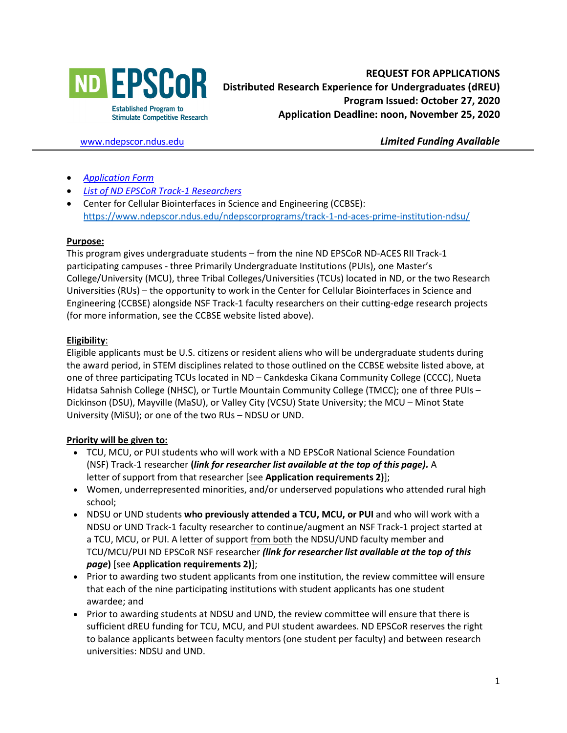

[www.ndepscor.ndus.edu](http://www.ndepscor.ndus.edu/) *Limited Funding Available*

- *[Application Form](https://www.ndepscor.ndus.edu/fileadmin/ndus/ndepscor/REU/2021.22REUapplformFillableFINAL.pdf)*
- *[List of ND EPSCoR Track-1 Researchers](https://www.ndepscor.ndus.edu/fileadmin/ndus/ndepscor/REU/2021REUResearcherListFINAL2020-10-27web.pdf)*
- Center for Cellular Biointerfaces in Science and Engineering (CCBSE): <https://www.ndepscor.ndus.edu/ndepscorprograms/track-1-nd-aces-prime-institution-ndsu/>

#### **Purpose:**

This program gives undergraduate students – from the nine ND EPSCoR ND-ACES RII Track-1 participating campuses - three Primarily Undergraduate Institutions (PUIs), one Master's College/University (MCU), three Tribal Colleges/Universities (TCUs) located in ND, or the two Research Universities (RUs) – the opportunity to work in the Center for Cellular Biointerfaces in Science and Engineering (CCBSE) alongside NSF Track-1 faculty researchers on their cutting-edge research projects (for more information, see the CCBSE website listed above).

### **Eligibility**:

Eligible applicants must be U.S. citizens or resident aliens who will be undergraduate students during the award period, in STEM disciplines related to those outlined on the CCBSE website listed above, at one of three participating TCUs located in ND – Cankdeska Cikana Community College (CCCC), Nueta Hidatsa Sahnish College (NHSC), or Turtle Mountain Community College (TMCC); one of three PUIs – Dickinson (DSU), Mayville (MaSU), or Valley City (VCSU) State University; the MCU – Minot State University (MiSU); or one of the two RUs – NDSU or UND.

### **Priority will be given to:**

- TCU, MCU, or PUI students who will work with a ND EPSCoR National Science Foundation (NSF) Track-1 researcher **(***link for researcher list available at the top of this page).* A letter of support from that researcher [see **Application requirements 2)**];
- Women, underrepresented minorities, and/or underserved populations who attended rural high school;
- NDSU or UND students **who previously attended a TCU, MCU, or PUI** and who will work with a NDSU or UND Track-1 faculty researcher to continue/augment an NSF Track-1 project started at a TCU, MCU, or PUI. A letter of support from both the NDSU/UND faculty member and TCU/MCU/PUI ND EPSCoR NSF researcher *(link for researcher list available at the top of this page***)** [see **Application requirements 2)**];
- Prior to awarding two student applicants from one institution, the review committee will ensure that each of the nine participating institutions with student applicants has one student awardee; and
- Prior to awarding students at NDSU and UND, the review committee will ensure that there is sufficient dREU funding for TCU, MCU, and PUI student awardees. ND EPSCoR reserves the right to balance applicants between faculty mentors (one student per faculty) and between research universities: NDSU and UND.